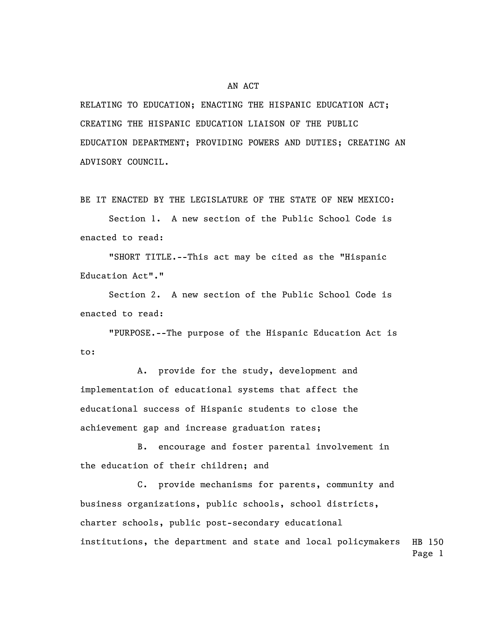## AN ACT

RELATING TO EDUCATION; ENACTING THE HISPANIC EDUCATION ACT; CREATING THE HISPANIC EDUCATION LIAISON OF THE PUBLIC EDUCATION DEPARTMENT; PROVIDING POWERS AND DUTIES; CREATING AN ADVISORY COUNCIL.

BE IT ENACTED BY THE LEGISLATURE OF THE STATE OF NEW MEXICO:

Section 1. A new section of the Public School Code is enacted to read:

"SHORT TITLE.--This act may be cited as the "Hispanic Education Act"."

Section 2. A new section of the Public School Code is enacted to read:

"PURPOSE.--The purpose of the Hispanic Education Act is to:

A. provide for the study, development and implementation of educational systems that affect the educational success of Hispanic students to close the achievement gap and increase graduation rates;

B. encourage and foster parental involvement in the education of their children; and

HB 150 Page 1 C. provide mechanisms for parents, community and business organizations, public schools, school districts, charter schools, public post-secondary educational institutions, the department and state and local policymakers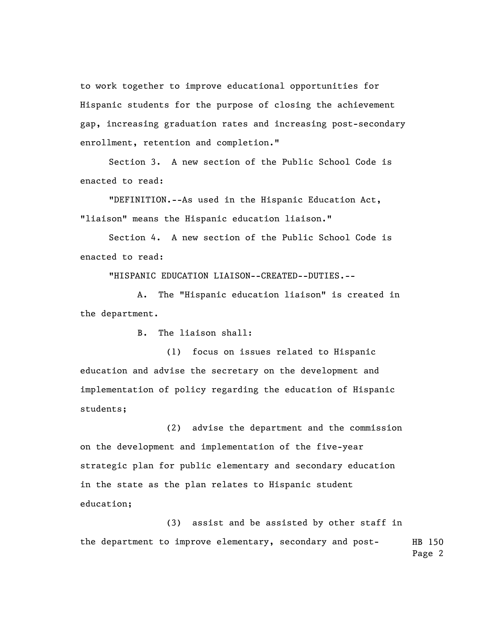to work together to improve educational opportunities for Hispanic students for the purpose of closing the achievement gap, increasing graduation rates and increasing post-secondary enrollment, retention and completion."

Section 3. A new section of the Public School Code is enacted to read:

"DEFINITION.--As used in the Hispanic Education Act, "liaison" means the Hispanic education liaison."

Section 4. A new section of the Public School Code is enacted to read:

"HISPANIC EDUCATION LIAISON--CREATED--DUTIES.--

A. The "Hispanic education liaison" is created in the department.

B. The liaison shall:

(1) focus on issues related to Hispanic education and advise the secretary on the development and implementation of policy regarding the education of Hispanic students;

(2) advise the department and the commission on the development and implementation of the five-year strategic plan for public elementary and secondary education in the state as the plan relates to Hispanic student education;

HB 150 Page 2 (3) assist and be assisted by other staff in the department to improve elementary, secondary and post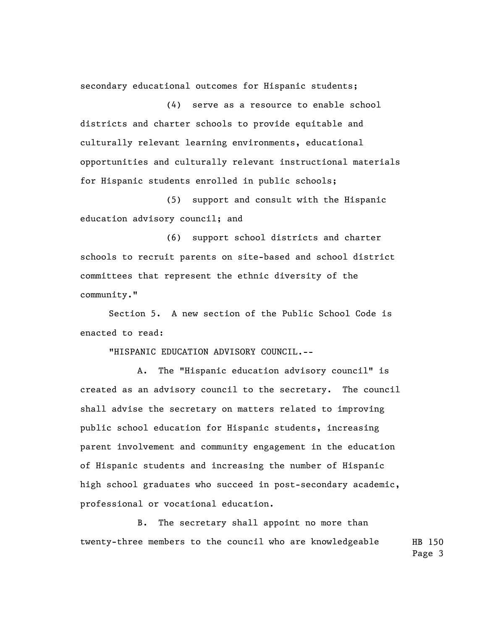secondary educational outcomes for Hispanic students;

(4) serve as a resource to enable school districts and charter schools to provide equitable and culturally relevant learning environments, educational opportunities and culturally relevant instructional materials for Hispanic students enrolled in public schools;

(5) support and consult with the Hispanic education advisory council; and

(6) support school districts and charter schools to recruit parents on site-based and school district committees that represent the ethnic diversity of the community."

Section 5. A new section of the Public School Code is enacted to read:

"HISPANIC EDUCATION ADVISORY COUNCIL.--

A. The "Hispanic education advisory council" is created as an advisory council to the secretary. The council shall advise the secretary on matters related to improving public school education for Hispanic students, increasing parent involvement and community engagement in the education of Hispanic students and increasing the number of Hispanic high school graduates who succeed in post-secondary academic, professional or vocational education.

HB 150 B. The secretary shall appoint no more than twenty-three members to the council who are knowledgeable

Page 3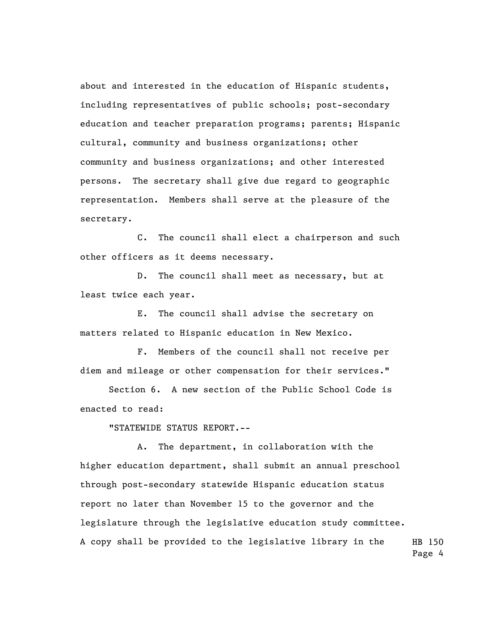about and interested in the education of Hispanic students, including representatives of public schools; post-secondary education and teacher preparation programs; parents; Hispanic cultural, community and business organizations; other community and business organizations; and other interested persons. The secretary shall give due regard to geographic representation. Members shall serve at the pleasure of the secretary.

C. The council shall elect a chairperson and such other officers as it deems necessary.

D. The council shall meet as necessary, but at least twice each year.

E. The council shall advise the secretary on matters related to Hispanic education in New Mexico.

F. Members of the council shall not receive per diem and mileage or other compensation for their services."

Section 6. A new section of the Public School Code is enacted to read:

"STATEWIDE STATUS REPORT.--

HB 150 A. The department, in collaboration with the higher education department, shall submit an annual preschool through post-secondary statewide Hispanic education status report no later than November 15 to the governor and the legislature through the legislative education study committee. A copy shall be provided to the legislative library in the

Page 4